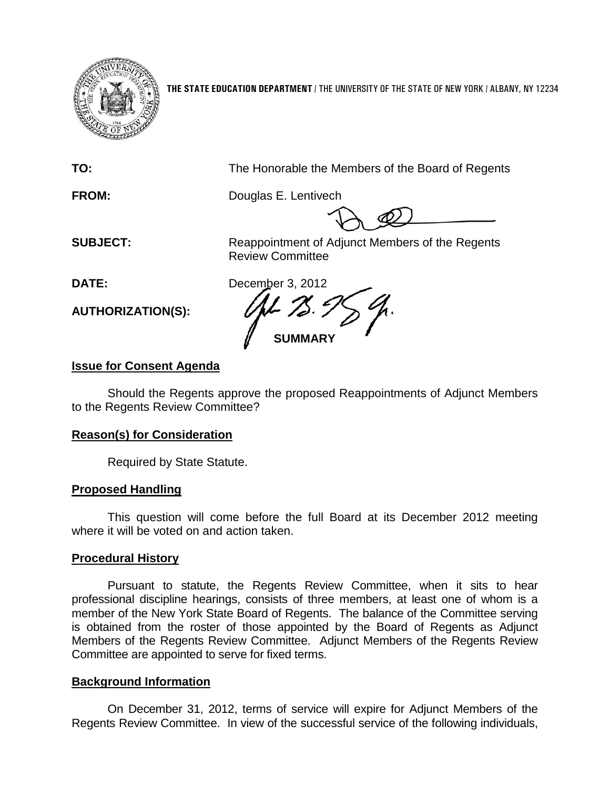

**THE STATE EDUCATION DEPARTMENT** / THE UNIVERSITY OF THE STATE OF NEW YORK / ALBANY, NY 12234

**TO:** The Honorable the Members of the Board of Regents

**FROM:** Douglas E. Lentivech

**SUBJECT:** Reappointment of Adjunct Members of the Regents Review Committee

**AUTHORIZATION(S):**

**DATE:** December 3, 2012 **SUMMARY**

# **Issue for Consent Agenda**

Should the Regents approve the proposed Reappointments of Adjunct Members to the Regents Review Committee?

# **Reason(s) for Consideration**

Required by State Statute.

# **Proposed Handling**

This question will come before the full Board at its December 2012 meeting where it will be voted on and action taken.

## **Procedural History**

Pursuant to statute, the Regents Review Committee, when it sits to hear professional discipline hearings, consists of three members, at least one of whom is a member of the New York State Board of Regents. The balance of the Committee serving is obtained from the roster of those appointed by the Board of Regents as Adjunct Members of the Regents Review Committee. Adjunct Members of the Regents Review Committee are appointed to serve for fixed terms.

# **Background Information**

On December 31, 2012, terms of service will expire for Adjunct Members of the Regents Review Committee. In view of the successful service of the following individuals,